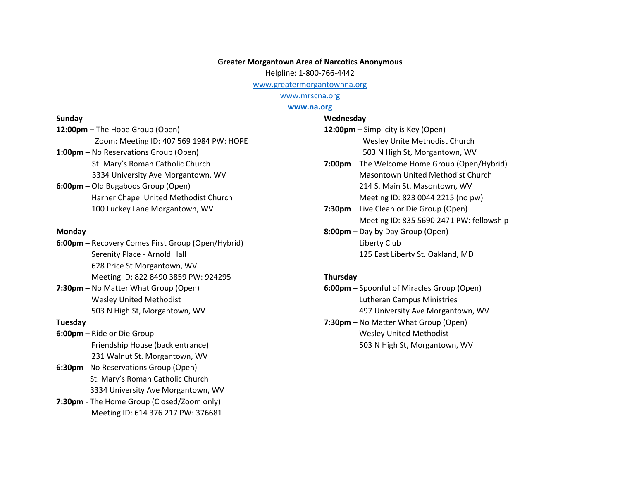# **Greater Morgantown Area of Narcotics Anonymous**

Helpline: 1-800-766-4442

[www.greatermorgantownna.org](http://www.greatermorgantownna.org/)

[www.mrscna.org](http://www.mrscna.org/)

## **[www.na.org](http://www.na.org/)**

#### **Sunday**

**12:00pm** – The Hope Group (Open) Zoom: Meeting ID: 407 569 1984 PW: HOPE **1:00pm** – No Reservations Group (Open) St. Mary's Roman Catholic Church 3334 University Ave Morgantown, WV **6:00pm** – Old Bugaboos Group (Open) Harner Chapel United Methodist Church 100 Luckey Lane Morgantown, WV

#### **Monday**

**6:00pm** – Recovery Comes First Group (Open/Hybrid) Serenity Place - Arnold Hall 628 Price St Morgantown, WV Meeting ID: 822 8490 3859 PW: 924295

**7:30pm** – No Matter What Group (Open) Wesley United Methodist 503 N High St, Morgantown, WV

## **Tuesday**

**6:00pm** – Ride or Die Group Friendship House (back entrance) 231 Walnut St. Morgantown, WV

- **6:30pm** No Reservations Group (Open) St. Mary's Roman Catholic Church 3334 University Ave Morgantown, WV
- **7:30pm** The Home Group (Closed/Zoom only) Meeting ID: 614 376 217 PW: 376681

**Wednesday 12:00pm** – Simplicity is Key (Open) Wesley Unite Methodist Church 503 N High St, Morgantown, WV **7:00pm** – The Welcome Home Group (Open/Hybrid) Masontown United Methodist Church 214 S. Main St. Masontown, WV Meeting ID: 823 0044 2215 (no pw) **7:30pm** – Live Clean or Die Group (Open) Meeting ID: 835 5690 2471 PW: fellowship **8:00pm** – Day by Day Group (Open) Liberty Club 125 East Liberty St. Oakland, MD

#### **Thursday**

**6:00pm** – Spoonful of Miracles Group (Open) Lutheran Campus Ministries 497 University Ave Morgantown, WV **7:30pm** – No Matter What Group (Open) Wesley United Methodist 503 N High St, Morgantown, WV